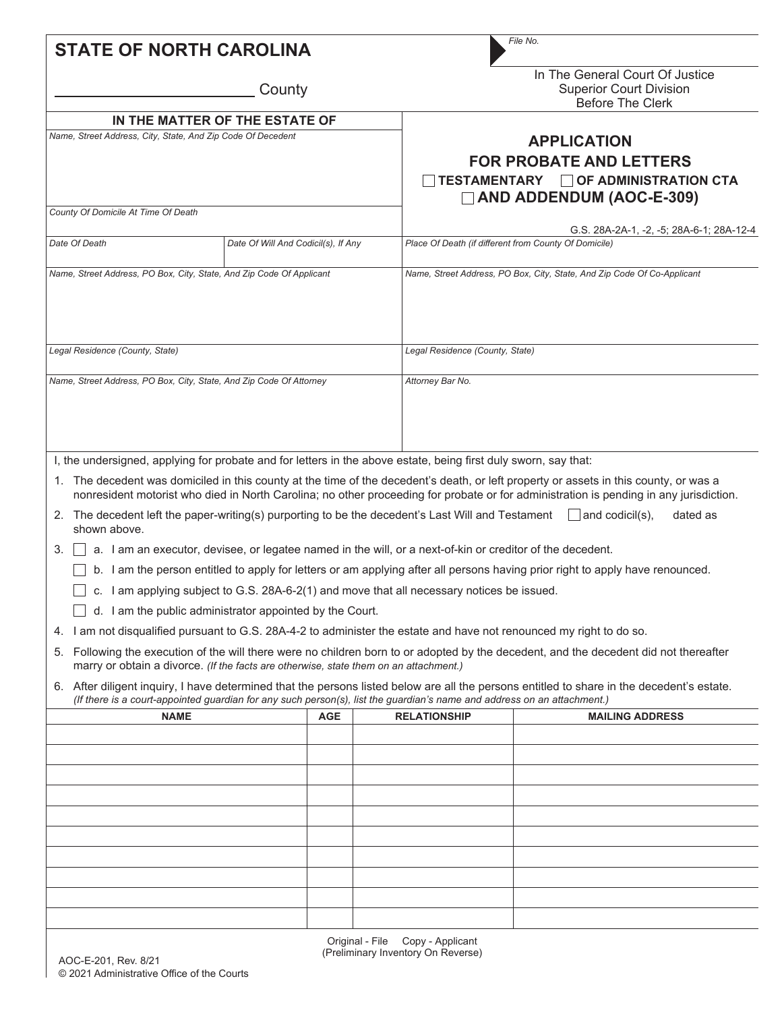| <b>STATE OF NORTH CAROLINA</b>                                                                                                                                                                                                                                                                                                                                                     |                                                                                                                                                          |                                                                                                                                                                                                                                                                                                                                    | File No.                                                                                                                                                                                                                                                                                                                                                                                                                                                                                                                                                                                                                                                                                                            |  |  |  |  |
|------------------------------------------------------------------------------------------------------------------------------------------------------------------------------------------------------------------------------------------------------------------------------------------------------------------------------------------------------------------------------------|----------------------------------------------------------------------------------------------------------------------------------------------------------|------------------------------------------------------------------------------------------------------------------------------------------------------------------------------------------------------------------------------------------------------------------------------------------------------------------------------------|---------------------------------------------------------------------------------------------------------------------------------------------------------------------------------------------------------------------------------------------------------------------------------------------------------------------------------------------------------------------------------------------------------------------------------------------------------------------------------------------------------------------------------------------------------------------------------------------------------------------------------------------------------------------------------------------------------------------|--|--|--|--|
|                                                                                                                                                                                                                                                                                                                                                                                    | County                                                                                                                                                   |                                                                                                                                                                                                                                                                                                                                    | In The General Court Of Justice<br><b>Superior Court Division</b><br><b>Before The Clerk</b><br><b>APPLICATION</b><br><b>FOR PROBATE AND LETTERS</b><br><b>TESTAMENTARY □ OF ADMINISTRATION CTA</b><br>$\Box$ AND ADDENDUM (AOC-E-309)                                                                                                                                                                                                                                                                                                                                                                                                                                                                              |  |  |  |  |
| Name, Street Address, City, State, And Zip Code Of Decedent                                                                                                                                                                                                                                                                                                                        | IN THE MATTER OF THE ESTATE OF                                                                                                                           |                                                                                                                                                                                                                                                                                                                                    |                                                                                                                                                                                                                                                                                                                                                                                                                                                                                                                                                                                                                                                                                                                     |  |  |  |  |
| County Of Domicile At Time Of Death                                                                                                                                                                                                                                                                                                                                                |                                                                                                                                                          |                                                                                                                                                                                                                                                                                                                                    |                                                                                                                                                                                                                                                                                                                                                                                                                                                                                                                                                                                                                                                                                                                     |  |  |  |  |
| Date Of Death                                                                                                                                                                                                                                                                                                                                                                      | Date Of Will And Codicil(s), If Any                                                                                                                      |                                                                                                                                                                                                                                                                                                                                    | G.S. 28A-2A-1, -2, -5; 28A-6-1; 28A-12-4<br>Place Of Death (if different from County Of Domicile)                                                                                                                                                                                                                                                                                                                                                                                                                                                                                                                                                                                                                   |  |  |  |  |
| Name, Street Address, PO Box, City, State, And Zip Code Of Applicant                                                                                                                                                                                                                                                                                                               |                                                                                                                                                          |                                                                                                                                                                                                                                                                                                                                    | Name, Street Address, PO Box, City, State, And Zip Code Of Co-Applicant                                                                                                                                                                                                                                                                                                                                                                                                                                                                                                                                                                                                                                             |  |  |  |  |
| Legal Residence (County, State)                                                                                                                                                                                                                                                                                                                                                    |                                                                                                                                                          |                                                                                                                                                                                                                                                                                                                                    | Legal Residence (County, State)                                                                                                                                                                                                                                                                                                                                                                                                                                                                                                                                                                                                                                                                                     |  |  |  |  |
| Name, Street Address, PO Box, City, State, And Zip Code Of Attorney                                                                                                                                                                                                                                                                                                                |                                                                                                                                                          | Attorney Bar No.                                                                                                                                                                                                                                                                                                                   |                                                                                                                                                                                                                                                                                                                                                                                                                                                                                                                                                                                                                                                                                                                     |  |  |  |  |
| I, the undersigned, applying for probate and for letters in the above estate, being first duly sworn, say that:<br>2. The decedent left the paper-writing(s) purporting to be the decedent's Last Will and Testament and codicil(s),<br>shown above.<br>3.<br>4. I am not disqualified pursuant to G.S. 28A-4-2 to administer the estate and have not renounced my right to do so. | $\Box$ d. I am the public administrator appointed by the Court.<br>marry or obtain a divorce. (If the facts are otherwise, state them on an attachment.) | a. I am an executor, devisee, or legatee named in the will, or a next-of-kin or creditor of the decedent.<br>c. I am applying subject to G.S. 28A-6-2(1) and move that all necessary notices be issued.<br>(If there is a court-appointed guardian for any such person(s), list the guardian's name and address on an attachment.) | 1. The decedent was domiciled in this county at the time of the decedent's death, or left property or assets in this county, or was a<br>nonresident motorist who died in North Carolina; no other proceeding for probate or for administration is pending in any jurisdiction.<br>dated as<br>b. I am the person entitled to apply for letters or am applying after all persons having prior right to apply have renounced.<br>5. Following the execution of the will there were no children born to or adopted by the decedent, and the decedent did not thereafter<br>6. After diligent inquiry, I have determined that the persons listed below are all the persons entitled to share in the decedent's estate. |  |  |  |  |
| <b>NAME</b>                                                                                                                                                                                                                                                                                                                                                                        | <b>AGE</b>                                                                                                                                               | <b>RELATIONSHIP</b>                                                                                                                                                                                                                                                                                                                | <b>MAILING ADDRESS</b>                                                                                                                                                                                                                                                                                                                                                                                                                                                                                                                                                                                                                                                                                              |  |  |  |  |
|                                                                                                                                                                                                                                                                                                                                                                                    |                                                                                                                                                          |                                                                                                                                                                                                                                                                                                                                    |                                                                                                                                                                                                                                                                                                                                                                                                                                                                                                                                                                                                                                                                                                                     |  |  |  |  |
|                                                                                                                                                                                                                                                                                                                                                                                    |                                                                                                                                                          |                                                                                                                                                                                                                                                                                                                                    |                                                                                                                                                                                                                                                                                                                                                                                                                                                                                                                                                                                                                                                                                                                     |  |  |  |  |
|                                                                                                                                                                                                                                                                                                                                                                                    |                                                                                                                                                          |                                                                                                                                                                                                                                                                                                                                    |                                                                                                                                                                                                                                                                                                                                                                                                                                                                                                                                                                                                                                                                                                                     |  |  |  |  |
|                                                                                                                                                                                                                                                                                                                                                                                    |                                                                                                                                                          |                                                                                                                                                                                                                                                                                                                                    |                                                                                                                                                                                                                                                                                                                                                                                                                                                                                                                                                                                                                                                                                                                     |  |  |  |  |
|                                                                                                                                                                                                                                                                                                                                                                                    |                                                                                                                                                          |                                                                                                                                                                                                                                                                                                                                    |                                                                                                                                                                                                                                                                                                                                                                                                                                                                                                                                                                                                                                                                                                                     |  |  |  |  |
|                                                                                                                                                                                                                                                                                                                                                                                    |                                                                                                                                                          |                                                                                                                                                                                                                                                                                                                                    |                                                                                                                                                                                                                                                                                                                                                                                                                                                                                                                                                                                                                                                                                                                     |  |  |  |  |
|                                                                                                                                                                                                                                                                                                                                                                                    |                                                                                                                                                          |                                                                                                                                                                                                                                                                                                                                    |                                                                                                                                                                                                                                                                                                                                                                                                                                                                                                                                                                                                                                                                                                                     |  |  |  |  |
|                                                                                                                                                                                                                                                                                                                                                                                    | Original - File                                                                                                                                          | Copy - Applicant                                                                                                                                                                                                                                                                                                                   |                                                                                                                                                                                                                                                                                                                                                                                                                                                                                                                                                                                                                                                                                                                     |  |  |  |  |

(Preliminary Inventory On Reverse)